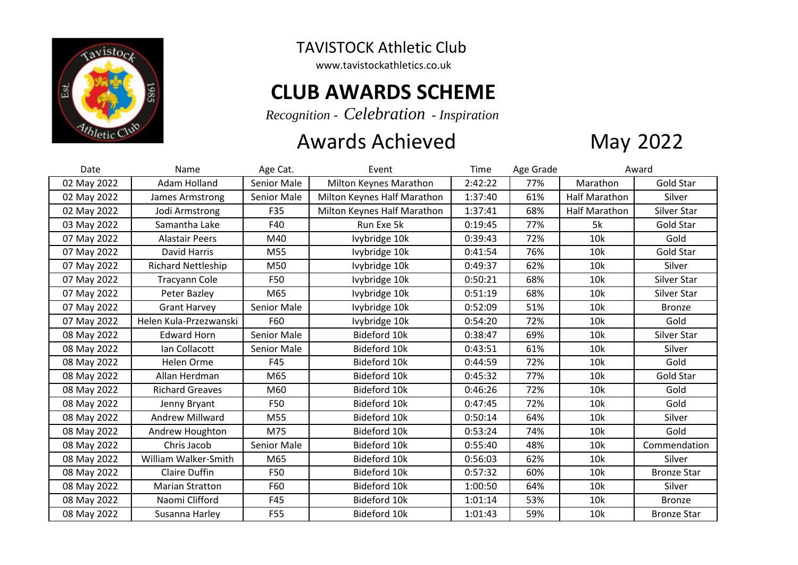

## TAVISTOCK Athletic Club

www.tavistockathletics.co.uk

## **CLUB AWARDS SCHEME**

*Recognition - Celebration - Inspiration*

## Awards Achieved



| Date        | Name                      | Age Cat.    | Event                       | Time    | Age Grade | Award                |                    |
|-------------|---------------------------|-------------|-----------------------------|---------|-----------|----------------------|--------------------|
| 02 May 2022 | Adam Holland              | Senior Male | Milton Keynes Marathon      | 2:42:22 | 77%       | Marathon             | Gold Star          |
| 02 May 2022 | James Armstrong           | Senior Male | Milton Keynes Half Marathon | 1:37:40 | 61%       | <b>Half Marathon</b> | Silver             |
| 02 May 2022 | Jodi Armstrong            | F35         | Milton Keynes Half Marathon | 1:37:41 | 68%       | <b>Half Marathon</b> | Silver Star        |
| 03 May 2022 | Samantha Lake             | F40         | Run Exe 5k                  | 0:19:45 | 77%       | 5k                   | Gold Star          |
| 07 May 2022 | <b>Alastair Peers</b>     | M40         | Ivybridge 10k               | 0:39:43 | 72%       | 10k                  | Gold               |
| 07 May 2022 | David Harris              | M55         | Ivybridge 10k               | 0:41:54 | 76%       | 10k                  | <b>Gold Star</b>   |
| 07 May 2022 | <b>Richard Nettleship</b> | M50         | Ivybridge 10k               | 0:49:37 | 62%       | 10k                  | Silver             |
| 07 May 2022 | <b>Tracyann Cole</b>      | F50         | Ivybridge 10k               | 0:50:21 | 68%       | 10k                  | Silver Star        |
| 07 May 2022 | Peter Bazley              | M65         | Ivybridge 10k               | 0:51:19 | 68%       | 10k                  | Silver Star        |
| 07 May 2022 | <b>Grant Harvey</b>       | Senior Male | Ivybridge 10k               | 0:52:09 | 51%       | 10k                  | <b>Bronze</b>      |
| 07 May 2022 | Helen Kula-Przezwanski    | F60         | Ivybridge 10k               | 0:54:20 | 72%       | 10k                  | Gold               |
| 08 May 2022 | <b>Edward Horn</b>        | Senior Male | Bideford 10k                | 0:38:47 | 69%       | 10k                  | Silver Star        |
| 08 May 2022 | Ian Collacott             | Senior Male | Bideford 10k                | 0:43:51 | 61%       | 10k                  | Silver             |
| 08 May 2022 | Helen Orme                | F45         | Bideford 10k                | 0:44:59 | 72%       | 10k                  | Gold               |
| 08 May 2022 | Allan Herdman             | M65         | Bideford 10k                | 0:45:32 | 77%       | 10k                  | Gold Star          |
| 08 May 2022 | <b>Richard Greaves</b>    | M60         | Bideford 10k                | 0:46:26 | 72%       | 10k                  | Gold               |
| 08 May 2022 | Jenny Bryant              | F50         | Bideford 10k                | 0:47:45 | 72%       | 10k                  | Gold               |
| 08 May 2022 | <b>Andrew Millward</b>    | M55         | Bideford 10k                | 0:50:14 | 64%       | 10k                  | Silver             |
| 08 May 2022 | Andrew Houghton           | M75         | Bideford 10k                | 0:53:24 | 74%       | 10k                  | Gold               |
| 08 May 2022 | Chris Jacob               | Senior Male | Bideford 10k                | 0:55:40 | 48%       | 10k                  | Commendation       |
| 08 May 2022 | William Walker-Smith      | M65         | Bideford 10k                | 0:56:03 | 62%       | 10k                  | Silver             |
| 08 May 2022 | <b>Claire Duffin</b>      | F50         | Bideford 10k                | 0:57:32 | 60%       | 10k                  | <b>Bronze Star</b> |
| 08 May 2022 | <b>Marian Stratton</b>    | F60         | Bideford 10k                | 1:00:50 | 64%       | 10k                  | Silver             |
| 08 May 2022 | Naomi Clifford            | F45         | Bideford 10k                | 1:01:14 | 53%       | 10k                  | <b>Bronze</b>      |
| 08 May 2022 | Susanna Harley            | F55         | Bideford 10k                | 1:01:43 | 59%       | 10k                  | <b>Bronze Star</b> |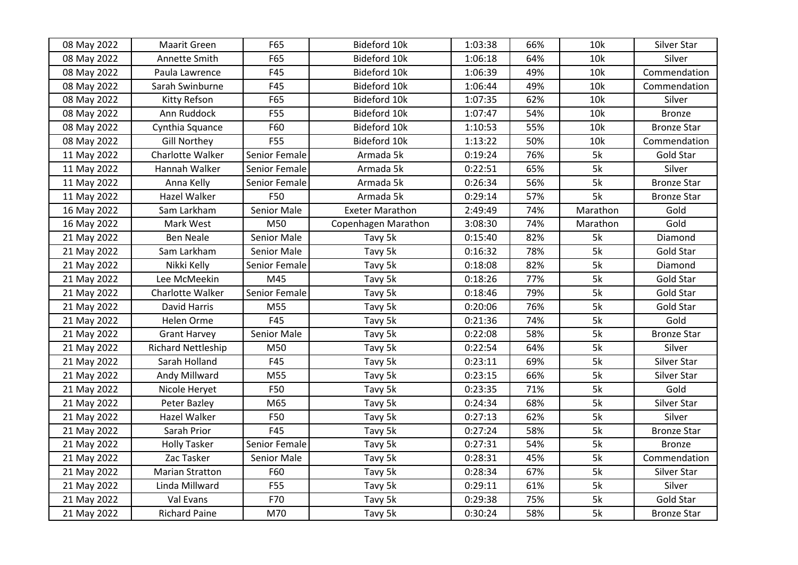| 08 May 2022 | Maarit Green              | F65           | Bideford 10k           | 1:03:38 | 66% | 10k      | Silver Star        |
|-------------|---------------------------|---------------|------------------------|---------|-----|----------|--------------------|
| 08 May 2022 | Annette Smith             | F65           | Bideford 10k           | 1:06:18 | 64% | 10k      | Silver             |
| 08 May 2022 | Paula Lawrence            | F45           | Bideford 10k           | 1:06:39 | 49% | 10k      | Commendation       |
| 08 May 2022 | Sarah Swinburne           | F45           | Bideford 10k           | 1:06:44 | 49% | 10k      | Commendation       |
| 08 May 2022 | Kitty Refson              | F65           | Bideford 10k           | 1:07:35 | 62% | 10k      | Silver             |
| 08 May 2022 | Ann Ruddock               | <b>F55</b>    | Bideford 10k           | 1:07:47 | 54% | 10k      | <b>Bronze</b>      |
| 08 May 2022 | Cynthia Squance           | F60           | Bideford 10k           | 1:10:53 | 55% | 10k      | <b>Bronze Star</b> |
| 08 May 2022 | <b>Gill Northey</b>       | F55           | Bideford 10k           | 1:13:22 | 50% | 10k      | Commendation       |
| 11 May 2022 | Charlotte Walker          | Senior Female | Armada 5k              | 0:19:24 | 76% | 5k       | Gold Star          |
| 11 May 2022 | Hannah Walker             | Senior Female | Armada 5k              | 0:22:51 | 65% | 5k       | Silver             |
| 11 May 2022 | Anna Kelly                | Senior Female | Armada 5k              | 0:26:34 | 56% | 5k       | <b>Bronze Star</b> |
| 11 May 2022 | Hazel Walker              | F50           | Armada 5k              | 0:29:14 | 57% | 5k       | <b>Bronze Star</b> |
| 16 May 2022 | Sam Larkham               | Senior Male   | <b>Exeter Marathon</b> | 2:49:49 | 74% | Marathon | Gold               |
| 16 May 2022 | Mark West                 | M50           | Copenhagen Marathon    | 3:08:30 | 74% | Marathon | Gold               |
| 21 May 2022 | <b>Ben Neale</b>          | Senior Male   | Tavy 5k                | 0:15:40 | 82% | 5k       | Diamond            |
| 21 May 2022 | Sam Larkham               | Senior Male   | Tavy 5k                | 0:16:32 | 78% | 5k       | Gold Star          |
| 21 May 2022 | Nikki Kelly               | Senior Female | Tavy 5k                | 0:18:08 | 82% | 5k       | Diamond            |
| 21 May 2022 | Lee McMeekin              | M45           | Tavy 5k                | 0:18:26 | 77% | 5k       | Gold Star          |
| 21 May 2022 | Charlotte Walker          | Senior Female | Tavy 5k                | 0:18:46 | 79% | 5k       | Gold Star          |
| 21 May 2022 | David Harris              | M55           | Tavy 5k                | 0:20:06 | 76% | 5k       | Gold Star          |
| 21 May 2022 | Helen Orme                | F45           | Tavy 5k                | 0:21:36 | 74% | 5k       | Gold               |
| 21 May 2022 | <b>Grant Harvey</b>       | Senior Male   | Tavy 5k                | 0:22:08 | 58% | 5k       | <b>Bronze Star</b> |
| 21 May 2022 | <b>Richard Nettleship</b> | M50           | Tavy 5k                | 0:22:54 | 64% | 5k       | Silver             |
| 21 May 2022 | Sarah Holland             | F45           | Tavy 5k                | 0:23:11 | 69% | 5k       | Silver Star        |
| 21 May 2022 | Andy Millward             | M55           | Tavy 5k                | 0:23:15 | 66% | 5k       | Silver Star        |
| 21 May 2022 | Nicole Heryet             | F50           | Tavy 5k                | 0:23:35 | 71% | 5k       | Gold               |
| 21 May 2022 | Peter Bazley              | M65           | Tavy 5k                | 0:24:34 | 68% | 5k       | Silver Star        |
| 21 May 2022 | Hazel Walker              | F50           | Tavy 5k                | 0:27:13 | 62% | 5k       | Silver             |
| 21 May 2022 | Sarah Prior               | F45           | Tavy 5k                | 0:27:24 | 58% | 5k       | <b>Bronze Star</b> |
| 21 May 2022 | <b>Holly Tasker</b>       | Senior Female | Tavy 5k                | 0:27:31 | 54% | 5k       | <b>Bronze</b>      |
| 21 May 2022 | Zac Tasker                | Senior Male   | Tavy 5k                | 0:28:31 | 45% | 5k       | Commendation       |
| 21 May 2022 | <b>Marian Stratton</b>    | F60           | Tavy 5k                | 0:28:34 | 67% | 5k       | Silver Star        |
| 21 May 2022 | Linda Millward            | F55           | Tavy 5k                | 0:29:11 | 61% | 5k       | Silver             |
| 21 May 2022 | Val Evans                 | F70           | Tavy 5k                | 0:29:38 | 75% | 5k       | Gold Star          |
| 21 May 2022 | <b>Richard Paine</b>      | M70           | Tavy 5k                | 0:30:24 | 58% | 5k       | <b>Bronze Star</b> |